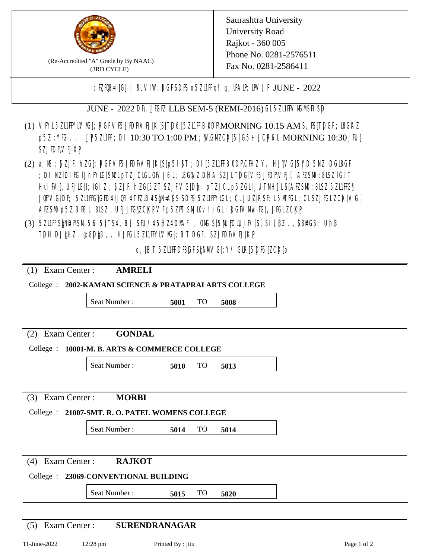

(Re-Accredited "A" Grade by By NAAC) (3RD CYCLE)

Saurashtra University University Road Rajkot - 360 005 Phone No. 0281-2576511 Fax No. 0281-2586411

; ELTGES I]GJI; 8L VIW; RGFSDIS o 5Z11 FFq! q; DAIP, DV[; P JUNE - 2022

JUNE - 2022 DR, JIGIZ LLB SEM-5 (REMI-2016) GL5ZIIFVMMSH SD

- (1) VFYL5Z11FFYLVMC[; RGFVF5JEDF\VEJ[K[S[T]D6[5Z11FFB0DF\MORNING 10.15 AM S, IS[T]DGF; I8G\AZ p5Z : YKG, . , UP5ZL1FF; DI 10:30 TO 1:00 PM ; WCGM CK[5| G5+ JCR6L MORNING 10:30 JFU[ SZJIDF**VEJXP**
- (2) a, M ; BZJE hZG[; RGFVE5JIDF\VEJ[K[S[p5I]\$T ; DI[5ZI1IFB\DDF\CHIZ Y. HJ]\VG[5|YD 5\VZ lDGI8GF ; DI NZIDI K; IJnFYK; [SML pTZJCKGLOF/J6L; I&GAZ DHA SZJLTDG[VF5JEDRVEJ[, AEZSM0 :8LSZ IGIT HuIFV[, UEJG[]; IGIZ ; 5ZJF. hZG[5ZT SZJFVG[DbI pTZJCLp5ZGLIJUTMHJLS[AEZSM0 :8LSZ 5Z11HG] JQFVG[DF; 5ZI1HG]GED4 LJQH 4 TEZIB4 S[N= APS SPIS 5ZL1HYIGL; CL JU[Z[ RSF; L 5MTGL; CL SZJFGL ZCK[ VG[ AESM p5Z BBL: 8LSZ, UEUJG|ZCKPVF p5ZFT SML0v!) GL; RGFVM KF[, JJGLZCKP
- (3) 5ZUFFS&NDF\SM.56 5}TS4, B[, SFU/45HZ4D\MAF., OMS[5|NU|PDIUJF/]S[ SI], [8Z.,[S8]ACS; Uh[8 TDH D[ $jHZ$ .g:8D $jg$ , HJ $KL$ 5ZL1FFYLVMS[;BT DGF. SZJEDFIVEJ[KP]

o, JBT 5Z11FDBGFSANMG[:Y/ GIR[5DF6]ZCK[0

| Exam Center:<br>(1)                   | <b>AMRELI</b>                                          |      |           |      |  |
|---------------------------------------|--------------------------------------------------------|------|-----------|------|--|
|                                       | College : 2002-KAMANI SCIENCE & PRATAPRAI ARTS COLLEGE |      |           |      |  |
|                                       | Seat Number:                                           | 5001 | <b>TO</b> | 5008 |  |
|                                       |                                                        |      |           |      |  |
| Exam Center :<br>(2)                  | <b>GONDAL</b>                                          |      |           |      |  |
|                                       | College : 10001-M. B. ARTS & COMMERCE COLLEGE          |      |           |      |  |
|                                       | Seat Number:                                           | 5010 | <b>TO</b> | 5013 |  |
|                                       |                                                        |      |           |      |  |
| Exam Center:<br>(3)                   | <b>MORBI</b>                                           |      |           |      |  |
|                                       | College : 21007-SMT. R. O. PATEL WOMENS COLLEGE        |      |           |      |  |
|                                       | Seat Number:                                           | 5014 | <b>TO</b> | 5014 |  |
|                                       |                                                        |      |           |      |  |
| Exam Center:<br><b>RAJKOT</b><br>(4)  |                                                        |      |           |      |  |
| College : 23069-CONVENTIONAL BUILDING |                                                        |      |           |      |  |
|                                       | Seat Number:                                           | 5015 | <b>TO</b> | 5020 |  |

(5) Exam Center : **SURENDRANAGAR**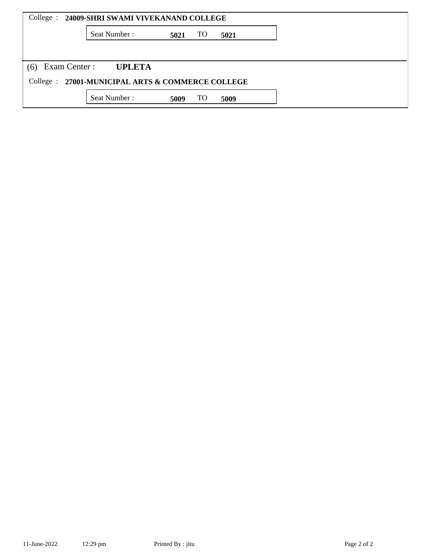|                                                   | College : 24009-SHRI SWAMI VIVEKANAND COLLEGE |      |           |      |  |  |  |  |  |
|---------------------------------------------------|-----------------------------------------------|------|-----------|------|--|--|--|--|--|
|                                                   | Seat Number:                                  | 5021 | <b>TO</b> | 5021 |  |  |  |  |  |
|                                                   |                                               |      |           |      |  |  |  |  |  |
| Exam Center :<br>(6)                              | <b>UPLETA</b>                                 |      |           |      |  |  |  |  |  |
| College : 27001-MUNICIPAL ARTS & COMMERCE COLLEGE |                                               |      |           |      |  |  |  |  |  |
|                                                   | Seat Number:                                  | 5009 | <b>TO</b> | 5009 |  |  |  |  |  |